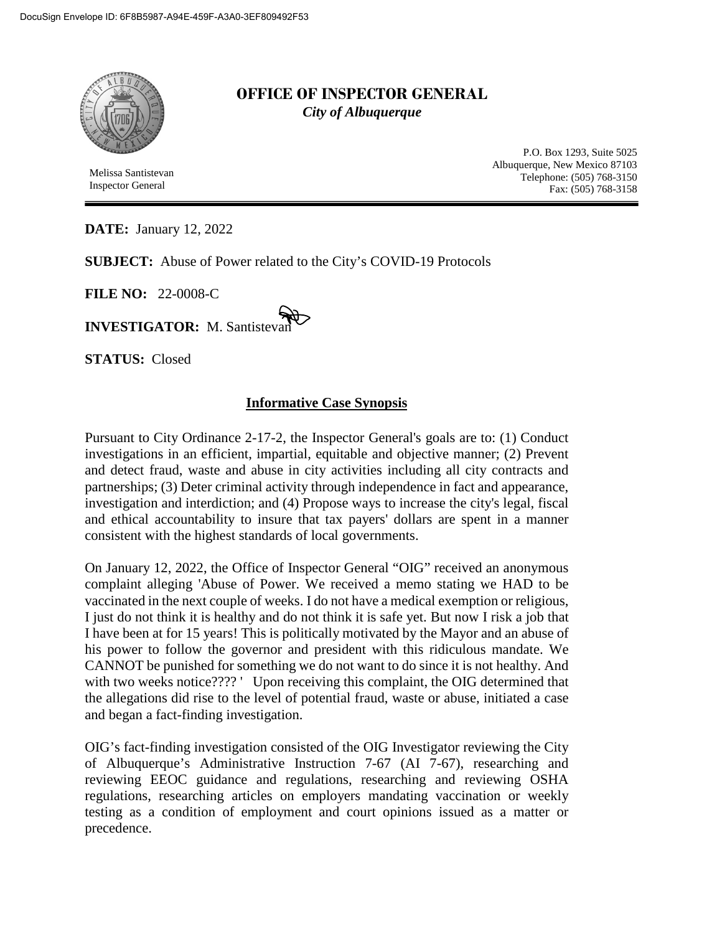

Melissa Santistevan Inspector General

## **OFFICE OF INSPECTOR GENERAL** *City of Albuquerque*

P.O. Box 1293, Suite 5025 Albuquerque, New Mexico 87103 Telephone: (505) 768-3150 Fax: (505) 768-3158

**DATE:** January 12, 2022

**SUBJECT:** Abuse of Power related to the City's COVID-19 Protocols

**FILE NO:** 22-0008-C

**INVESTIGATOR: M. Santisteva** 

**STATUS:** Closed

## **Informative Case Synopsis**

Pursuant to City Ordinance 2-17-2, the Inspector General's goals are to: (1) Conduct investigations in an efficient, impartial, equitable and objective manner; (2) Prevent and detect fraud, waste and abuse in city activities including all city contracts and partnerships; (3) Deter criminal activity through independence in fact and appearance, investigation and interdiction; and (4) Propose ways to increase the city's legal, fiscal and ethical accountability to insure that tax payers' dollars are spent in a manner consistent with the highest standards of local governments.

On January 12, 2022, the Office of Inspector General "OIG" received an anonymous complaint alleging 'Abuse of Power. We received a memo stating we HAD to be vaccinated in the next couple of weeks. I do not have a medical exemption or religious, I just do not think it is healthy and do not think it is safe yet. But now I risk a job that I have been at for 15 years! This is politically motivated by the Mayor and an abuse of his power to follow the governor and president with this ridiculous mandate. We CANNOT be punished for something we do not want to do since it is not healthy. And with two weeks notice???? ' Upon receiving this complaint, the OIG determined that the allegations did rise to the level of potential fraud, waste or abuse, initiated a case and began a fact-finding investigation.

OIG's fact-finding investigation consisted of the OIG Investigator reviewing the City of Albuquerque's Administrative Instruction 7-67 (AI 7-67), researching and reviewing EEOC guidance and regulations, researching and reviewing OSHA regulations, researching articles on employers mandating vaccination or weekly testing as a condition of employment and court opinions issued as a matter or precedence.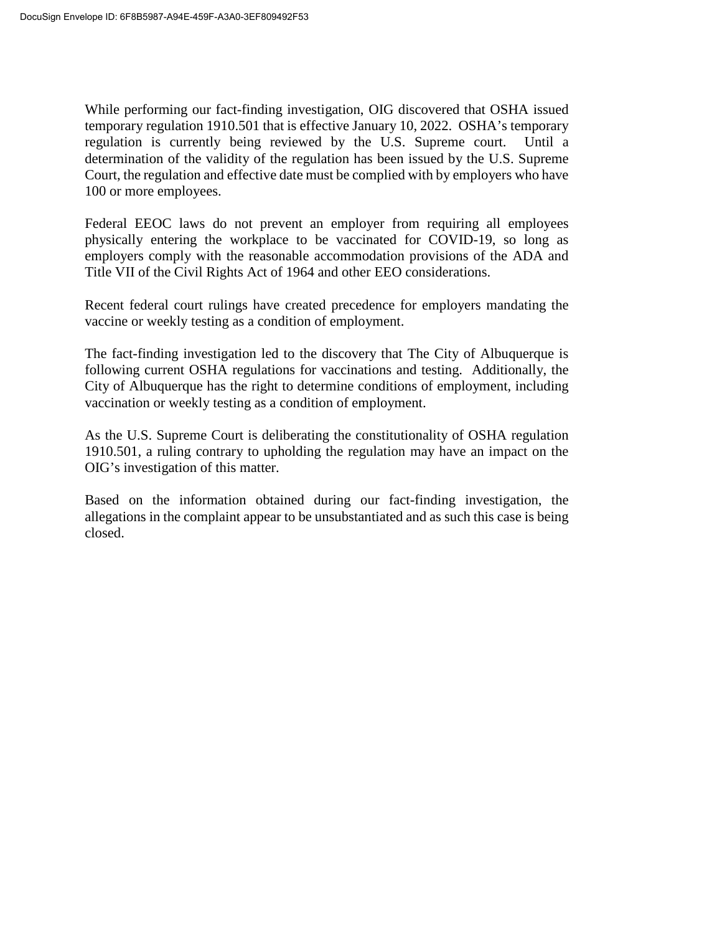While performing our fact-finding investigation, OIG discovered that OSHA issued temporary regulation 1910.501 that is effective January 10, 2022. OSHA's temporary regulation is currently being reviewed by the U.S. Supreme court. Until a determination of the validity of the regulation has been issued by the U.S. Supreme Court, the regulation and effective date must be complied with by employers who have 100 or more employees.

Federal EEOC laws do not prevent an employer from requiring all employees physically entering the workplace to be vaccinated for COVID-19, so long as employers comply with the reasonable accommodation provisions of the ADA and Title VII of the Civil Rights Act of 1964 and other EEO considerations.

Recent federal court rulings have created precedence for employers mandating the vaccine or weekly testing as a condition of employment.

The fact-finding investigation led to the discovery that The City of Albuquerque is following current OSHA regulations for vaccinations and testing. Additionally, the City of Albuquerque has the right to determine conditions of employment, including vaccination or weekly testing as a condition of employment.

As the U.S. Supreme Court is deliberating the constitutionality of OSHA regulation 1910.501, a ruling contrary to upholding the regulation may have an impact on the OIG's investigation of this matter.

Based on the information obtained during our fact-finding investigation, the allegations in the complaint appear to be unsubstantiated and as such this case is being closed.